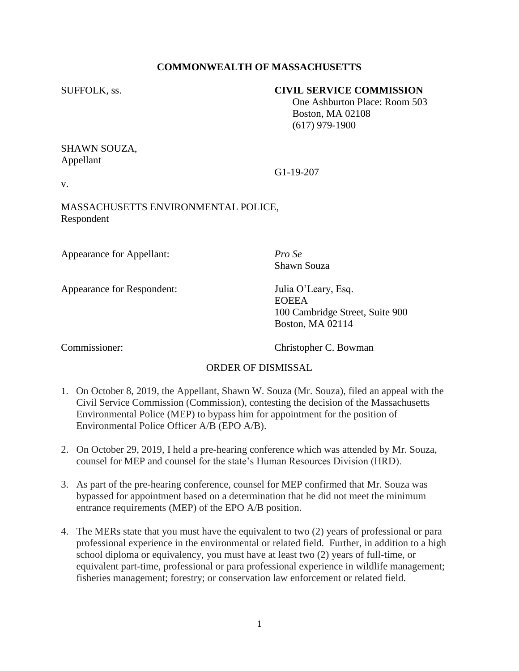## **COMMONWEALTH OF MASSACHUSETTS**

#### SUFFOLK, ss. **CIVIL SERVICE COMMISSION**

 One Ashburton Place: Room 503 Boston, MA 02108 (617) 979-1900

# SHAWN SOUZA, Appellant

v.

MASSACHUSETTS ENVIRONMENTAL POLICE, Respondent

Appearance for Appellant: *Pro Se*

Appearance for Respondent: Julia O'Leary, Esq.

Shawn Souza

G1-19-207

EOEEA 100 Cambridge Street, Suite 900 Boston, MA 02114

Commissioner: Christopher C. Bowman

### ORDER OF DISMISSAL

- 1. On October 8, 2019, the Appellant, Shawn W. Souza (Mr. Souza), filed an appeal with the Civil Service Commission (Commission), contesting the decision of the Massachusetts Environmental Police (MEP) to bypass him for appointment for the position of Environmental Police Officer A/B (EPO A/B).
- 2. On October 29, 2019, I held a pre-hearing conference which was attended by Mr. Souza, counsel for MEP and counsel for the state's Human Resources Division (HRD).
- 3. As part of the pre-hearing conference, counsel for MEP confirmed that Mr. Souza was bypassed for appointment based on a determination that he did not meet the minimum entrance requirements (MEP) of the EPO A/B position.
- 4. The MERs state that you must have the equivalent to two (2) years of professional or para professional experience in the environmental or related field. Further, in addition to a high school diploma or equivalency, you must have at least two (2) years of full-time, or equivalent part-time, professional or para professional experience in wildlife management; fisheries management; forestry; or conservation law enforcement or related field.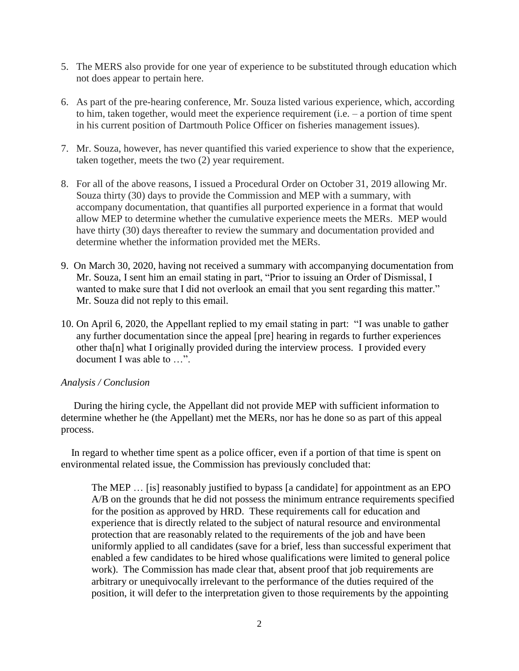- 5. The MERS also provide for one year of experience to be substituted through education which not does appear to pertain here.
- 6. As part of the pre-hearing conference, Mr. Souza listed various experience, which, according to him, taken together, would meet the experience requirement (i.e. – a portion of time spent in his current position of Dartmouth Police Officer on fisheries management issues).
- 7. Mr. Souza, however, has never quantified this varied experience to show that the experience, taken together, meets the two (2) year requirement.
- 8. For all of the above reasons, I issued a Procedural Order on October 31, 2019 allowing Mr. Souza thirty (30) days to provide the Commission and MEP with a summary, with accompany documentation, that quantifies all purported experience in a format that would allow MEP to determine whether the cumulative experience meets the MERs. MEP would have thirty (30) days thereafter to review the summary and documentation provided and determine whether the information provided met the MERs.
- 9. On March 30, 2020, having not received a summary with accompanying documentation from Mr. Souza, I sent him an email stating in part, "Prior to issuing an Order of Dismissal, I wanted to make sure that I did not overlook an email that you sent regarding this matter." Mr. Souza did not reply to this email.
- 10. On April 6, 2020, the Appellant replied to my email stating in part: "I was unable to gather any further documentation since the appeal [pre] hearing in regards to further experiences other tha[n] what I originally provided during the interview process. I provided every document I was able to …".

### *Analysis / Conclusion*

 During the hiring cycle, the Appellant did not provide MEP with sufficient information to determine whether he (the Appellant) met the MERs, nor has he done so as part of this appeal process.

 In regard to whether time spent as a police officer, even if a portion of that time is spent on environmental related issue, the Commission has previously concluded that:

The MEP … [is] reasonably justified to bypass [a candidate] for appointment as an EPO A/B on the grounds that he did not possess the minimum entrance requirements specified for the position as approved by HRD. These requirements call for education and experience that is directly related to the subject of natural resource and environmental protection that are reasonably related to the requirements of the job and have been uniformly applied to all candidates (save for a brief, less than successful experiment that enabled a few candidates to be hired whose qualifications were limited to general police work). The Commission has made clear that, absent proof that job requirements are arbitrary or unequivocally irrelevant to the performance of the duties required of the position, it will defer to the interpretation given to those requirements by the appointing